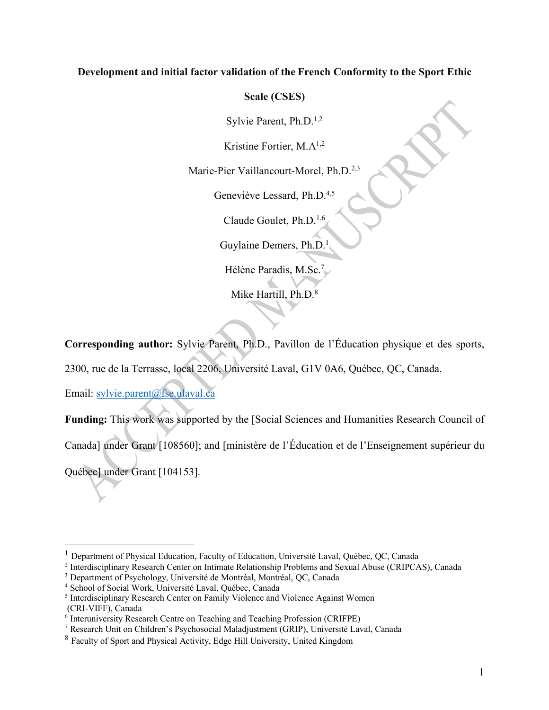# **Development and initial factor validation of the French Conformity to the Sport Ethic**

# **Scale (CSES)**

Sylvie Parent, Ph.D.<sup>1,2</sup>

Kristine Fortier, M.A1,2

Marie-Pier Vaillancourt-Morel, Ph.D.<sup>2,3</sup>

Geneviève Lessard, Ph.D.<sup>4,5</sup>

Claude Goulet, Ph.D.1,6

Guylaine Demers, Ph.D.1

Hélène Paradis, M.Sc.7

Mike Hartill, Ph.D.<sup>8</sup>

**Corresponding author:** Sylvie Parent, Ph.D., Pavillon de l'Éducation physique et des sports,

2300, rue de la Terrasse, local 2206, Université Laval, G1V 0A6, Québec, QC, Canada.

Email: sylvie.parent@fse.ulaval.ca

**Funding:** This work was supported by the [Social Sciences and Humanities Research Council of

Canada] under Grant [108560]; and [ministère de l'Éducation et de l'Enseignement supérieur du

Québec] under Grant [104153].

<sup>&</sup>lt;sup>1</sup> Department of Physical Education, Faculty of Education, Université Laval, Québec, QC, Canada

<sup>2</sup> Interdisciplinary Research Center on Intimate Relationship Problems and Sexual Abuse (CRIPCAS), Canada

<sup>3</sup> Department of Psychology, Université de Montréal, Montréal, QC, Canada

<sup>4</sup> School of Social Work, Université Laval, Québec, Canada

<sup>5</sup> Interdisciplinary Research Center on Family Violence and Violence Against Women (CRI-VIFF), Canada

<sup>&</sup>lt;sup>6</sup> Interuniversity Research Centre on Teaching and Teaching Profession (CRIFPE)

<sup>7</sup> Research Unit on Children's Psychosocial Maladjustment (GRIP), Université Laval, Canada

<sup>8</sup> Faculty of Sport and Physical Activity, Edge Hill University, United Kingdom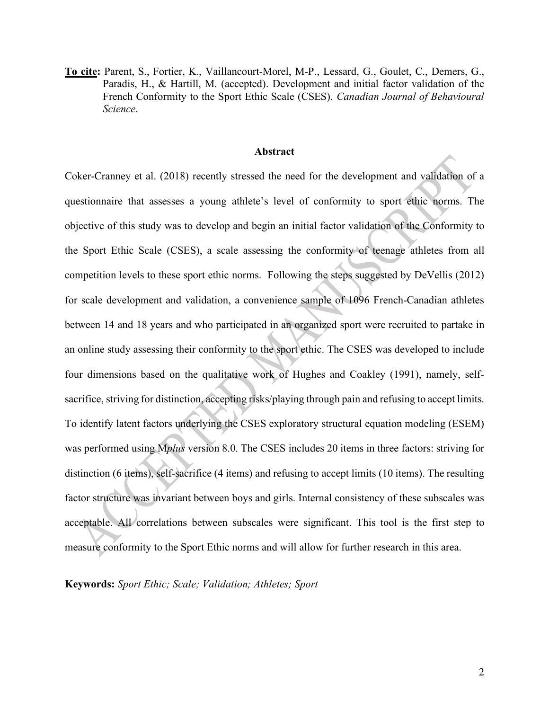**To cite:** Parent, S., Fortier, K., Vaillancourt-Morel, M-P., Lessard, G., Goulet, C., Demers, G., Paradis, H., & Hartill, M. (accepted). Development and initial factor validation of the French Conformity to the Sport Ethic Scale (CSES). *Canadian Journal of Behavioural Science*.

#### **Abstract**

Coker-Cranney et al. (2018) recently stressed the need for the development and validation of a questionnaire that assesses a young athlete's level of conformity to sport ethic norms. The objective of this study was to develop and begin an initial factor validation of the Conformity to the Sport Ethic Scale (CSES), a scale assessing the conformity of teenage athletes from all competition levels to these sport ethic norms. Following the steps suggested by DeVellis (2012) for scale development and validation, a convenience sample of 1096 French-Canadian athletes between 14 and 18 years and who participated in an organized sport were recruited to partake in an online study assessing their conformity to the sport ethic. The CSES was developed to include four dimensions based on the qualitative work of Hughes and Coakley (1991), namely, selfsacrifice, striving for distinction, accepting risks/playing through pain and refusing to accept limits. To identify latent factors underlying the CSES exploratory structural equation modeling (ESEM) was performed using M*plus* version 8.0. The CSES includes 20 items in three factors: striving for distinction (6 items), self-sacrifice (4 items) and refusing to accept limits (10 items). The resulting factor structure was invariant between boys and girls. Internal consistency of these subscales was acceptable. All correlations between subscales were significant. This tool is the first step to measure conformity to the Sport Ethic norms and will allow for further research in this area.

**Keywords:** *Sport Ethic; Scale; Validation; Athletes; Sport*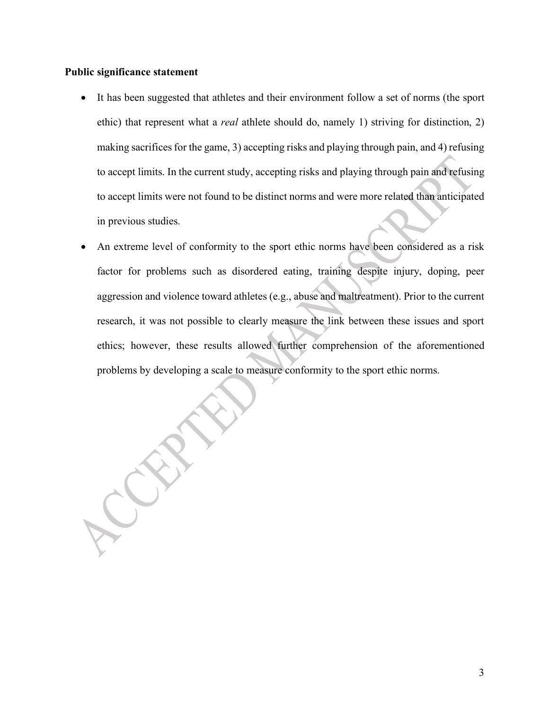## **Public significance statement**

- It has been suggested that athletes and their environment follow a set of norms (the sport ethic) that represent what a *real* athlete should do, namely 1) striving for distinction, 2) making sacrifices for the game, 3) accepting risks and playing through pain, and 4) refusing to accept limits. In the current study, accepting risks and playing through pain and refusing to accept limits were not found to be distinct norms and were more related than anticipated in previous studies.
- An extreme level of conformity to the sport ethic norms have been considered as a risk factor for problems such as disordered eating, training despite injury, doping, peer aggression and violence toward athletes (e.g., abuse and maltreatment). Prior to the current research, it was not possible to clearly measure the link between these issues and sport ethics; however, these results allowed further comprehension of the aforementioned problems by developing a scale to measure conformity to the sport ethic norms.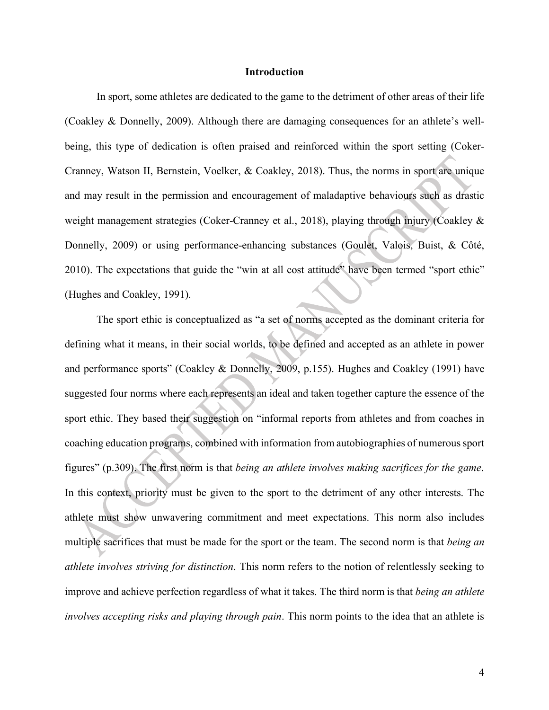#### **Introduction**

In sport, some athletes are dedicated to the game to the detriment of other areas of their life (Coakley & Donnelly, 2009). Although there are damaging consequences for an athlete's wellbeing, this type of dedication is often praised and reinforced within the sport setting (Coker-Cranney, Watson II, Bernstein, Voelker, & Coakley, 2018). Thus, the norms in sport are unique and may result in the permission and encouragement of maladaptive behaviours such as drastic weight management strategies (Coker-Cranney et al., 2018), playing through injury (Coakley & Donnelly, 2009) or using performance-enhancing substances (Goulet, Valois, Buist, & Côté, 2010). The expectations that guide the "win at all cost attitude" have been termed "sport ethic" (Hughes and Coakley, 1991).

The sport ethic is conceptualized as "a set of norms accepted as the dominant criteria for defining what it means, in their social worlds, to be defined and accepted as an athlete in power and performance sports" (Coakley & Donnelly, 2009, p.155). Hughes and Coakley (1991) have suggested four norms where each represents an ideal and taken together capture the essence of the sport ethic. They based their suggestion on "informal reports from athletes and from coaches in coaching education programs, combined with information from autobiographies of numerous sport figures" (p.309). The first norm is that *being an athlete involves making sacrifices for the game*. In this context, priority must be given to the sport to the detriment of any other interests. The athlete must show unwavering commitment and meet expectations. This norm also includes multiple sacrifices that must be made for the sport or the team. The second norm is that *being an athlete involves striving for distinction*. This norm refers to the notion of relentlessly seeking to improve and achieve perfection regardless of what it takes. The third norm is that *being an athlete involves accepting risks and playing through pain*. This norm points to the idea that an athlete is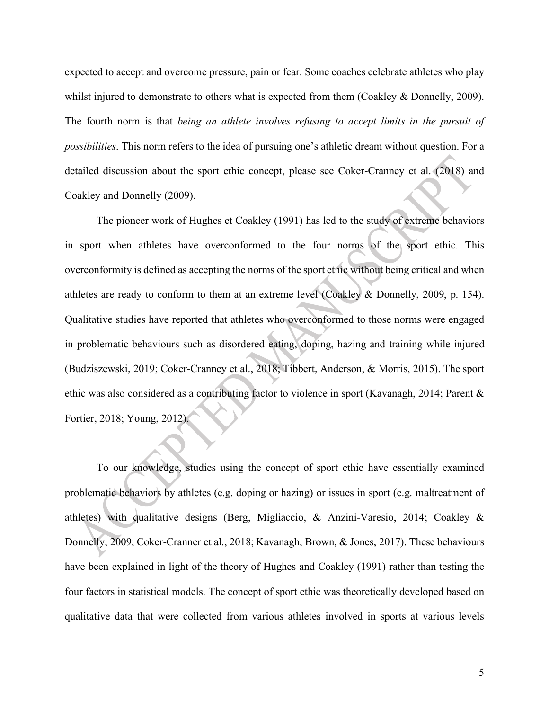expected to accept and overcome pressure, pain or fear. Some coaches celebrate athletes who play whilst injured to demonstrate to others what is expected from them (Coakley & Donnelly, 2009). The fourth norm is that *being an athlete involves refusing to accept limits in the pursuit of possibilities*. This norm refers to the idea of pursuing one's athletic dream without question. For a detailed discussion about the sport ethic concept, please see Coker-Cranney et al. (2018) and Coakley and Donnelly (2009).

The pioneer work of Hughes et Coakley (1991) has led to the study of extreme behaviors in sport when athletes have overconformed to the four norms of the sport ethic. This overconformity is defined as accepting the norms of the sport ethic without being critical and when athletes are ready to conform to them at an extreme level (Coakley & Donnelly, 2009, p. 154). Qualitative studies have reported that athletes who overconformed to those norms were engaged in problematic behaviours such as disordered eating, doping, hazing and training while injured (Budziszewski, 2019; Coker-Cranney et al., 2018; Tibbert, Anderson, & Morris, 2015). The sport ethic was also considered as a contributing factor to violence in sport (Kavanagh, 2014; Parent & Fortier, 2018; Young, 2012).

To our knowledge, studies using the concept of sport ethic have essentially examined problematic behaviors by athletes (e.g. doping or hazing) or issues in sport (e.g. maltreatment of athletes) with qualitative designs (Berg, Migliaccio, & Anzini-Varesio, 2014; Coakley & Donnelly, 2009; Coker-Cranner et al., 2018; Kavanagh, Brown, & Jones, 2017). These behaviours have been explained in light of the theory of Hughes and Coakley (1991) rather than testing the four factors in statistical models. The concept of sport ethic was theoretically developed based on qualitative data that were collected from various athletes involved in sports at various levels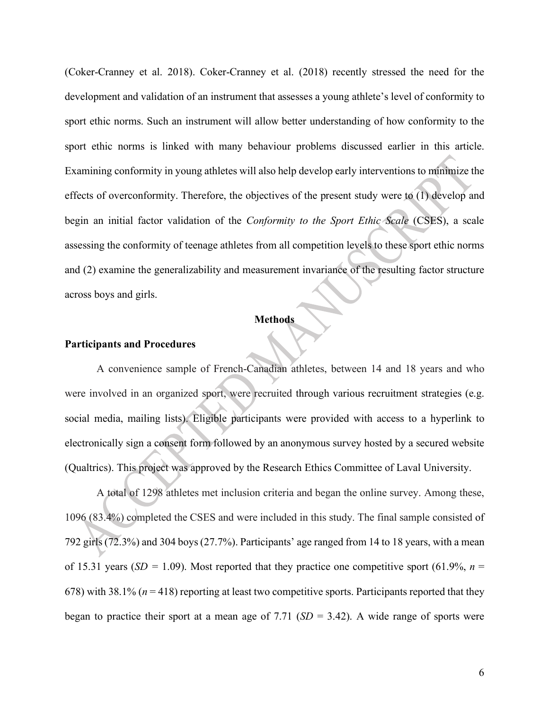(Coker-Cranney et al. 2018). Coker-Cranney et al. (2018) recently stressed the need for the development and validation of an instrument that assesses a young athlete's level of conformity to sport ethic norms. Such an instrument will allow better understanding of how conformity to the sport ethic norms is linked with many behaviour problems discussed earlier in this article. Examining conformity in young athletes will also help develop early interventions to minimize the effects of overconformity. Therefore, the objectives of the present study were to (1) develop and begin an initial factor validation of the *Conformity to the Sport Ethic Scale* (CSES), a scale assessing the conformity of teenage athletes from all competition levels to these sport ethic norms and (2) examine the generalizability and measurement invariance of the resulting factor structure across boys and girls.

#### **Methods**

### **Participants and Procedures**

A convenience sample of French-Canadian athletes, between 14 and 18 years and who were involved in an organized sport, were recruited through various recruitment strategies (e.g. social media, mailing lists). Eligible participants were provided with access to a hyperlink to electronically sign a consent form followed by an anonymous survey hosted by a secured website (Qualtrics). This project was approved by the Research Ethics Committee of Laval University.

A total of 1298 athletes met inclusion criteria and began the online survey. Among these, 1096 (83.4%) completed the CSES and were included in this study. The final sample consisted of 792 girls (72.3%) and 304 boys (27.7%). Participants' age ranged from 14 to 18 years, with a mean of 15.31 years ( $SD = 1.09$ ). Most reported that they practice one competitive sport (61.9%, *n* = 678) with 38.1% (*n* = 418) reporting at least two competitive sports. Participants reported that they began to practice their sport at a mean age of 7.71  $(SD = 3.42)$ . A wide range of sports were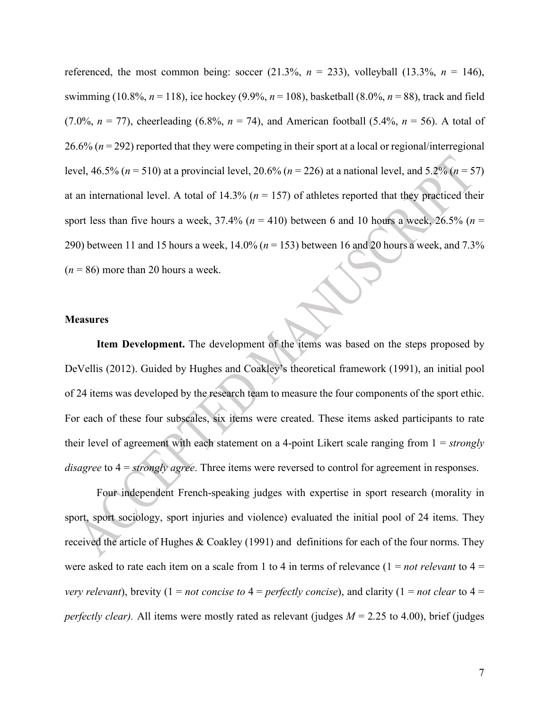referenced, the most common being: soccer  $(21.3\%, n = 233)$ , volleyball  $(13.3\%, n = 146)$ , swimming (10.8%, *n* = 118), ice hockey (9.9%, *n* = 108), basketball (8.0%, *n* = 88), track and field (7.0%,  $n = 77$ ), cheerleading (6.8%,  $n = 74$ ), and American football (5.4%,  $n = 56$ ). A total of 26.6% (*n* = 292) reported that they were competing in their sport at a local or regional/interregional level, 46.5% (*n* = 510) at a provincial level, 20.6% (*n* = 226) at a national level, and 5.2% (*n* = 57) at an international level. A total of  $14.3\%$  ( $n = 157$ ) of athletes reported that they practiced their sport less than five hours a week,  $37.4\%$  ( $n = 410$ ) between 6 and 10 hours a week,  $26.5\%$  ( $n =$ 290) between 11 and 15 hours a week, 14.0% (*n* = 153) between 16 and 20 hours a week, and 7.3%  $(n = 86)$  more than 20 hours a week.

## **Measures**

**Item Development.** The development of the items was based on the steps proposed by DeVellis (2012). Guided by Hughes and Coakley's theoretical framework (1991), an initial pool of 24 items was developed by the research team to measure the four components of the sport ethic. For each of these four subscales, six items were created. These items asked participants to rate their level of agreement with each statement on a 4-point Likert scale ranging from 1 = *strongly disagree* to 4 = *strongly agree*. Three items were reversed to control for agreement in responses.

Four independent French-speaking judges with expertise in sport research (morality in sport, sport sociology, sport injuries and violence) evaluated the initial pool of 24 items. They received the article of Hughes & Coakley (1991) and definitions for each of the four norms. They were asked to rate each item on a scale from 1 to 4 in terms of relevance (1 = *not relevant* to 4 = *very relevant*), brevity (1 = *not concise to* 4 = *perfectly concise*), and clarity (1 = *not clear* to 4 = *perfectly clear).* All items were mostly rated as relevant (judges *M* = 2.25 to 4.00), brief (judges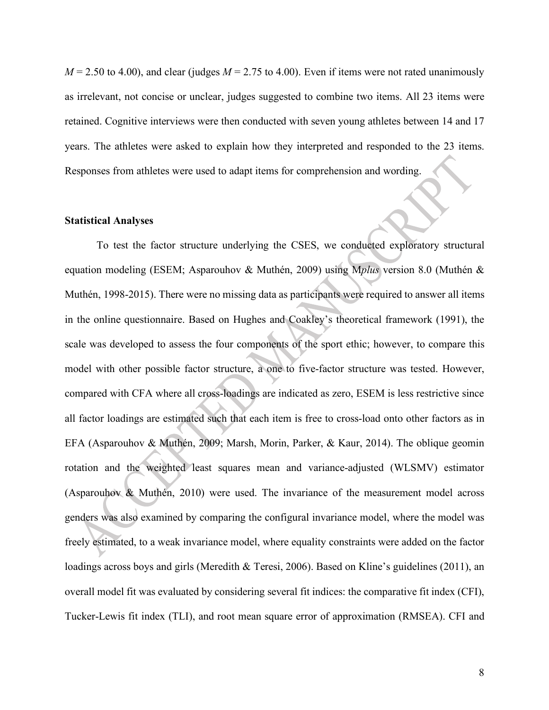$M = 2.50$  to 4.00), and clear (judges  $M = 2.75$  to 4.00). Even if items were not rated unanimously as irrelevant, not concise or unclear, judges suggested to combine two items. All 23 items were retained. Cognitive interviews were then conducted with seven young athletes between 14 and 17 years. The athletes were asked to explain how they interpreted and responded to the 23 items. Responses from athletes were used to adapt items for comprehension and wording.

#### **Statistical Analyses**

To test the factor structure underlying the CSES, we conducted exploratory structural equation modeling (ESEM; Asparouhov & Muthén, 2009) using M*plus* version 8.0 (Muthén & Muthén, 1998-2015). There were no missing data as participants were required to answer all items in the online questionnaire. Based on Hughes and Coakley's theoretical framework (1991), the scale was developed to assess the four components of the sport ethic; however, to compare this model with other possible factor structure, a one to five-factor structure was tested. However, compared with CFA where all cross-loadings are indicated as zero, ESEM is less restrictive since all factor loadings are estimated such that each item is free to cross-load onto other factors as in EFA (Asparouhov & Muthén, 2009; Marsh, Morin, Parker, & Kaur, 2014). The oblique geomin rotation and the weighted least squares mean and variance-adjusted (WLSMV) estimator (Asparouhov & Muthén, 2010) were used. The invariance of the measurement model across genders was also examined by comparing the configural invariance model, where the model was freely estimated, to a weak invariance model, where equality constraints were added on the factor loadings across boys and girls (Meredith & Teresi, 2006). Based on Kline's guidelines (2011), an overall model fit was evaluated by considering several fit indices: the comparative fit index (CFI), Tucker-Lewis fit index (TLI), and root mean square error of approximation (RMSEA). CFI and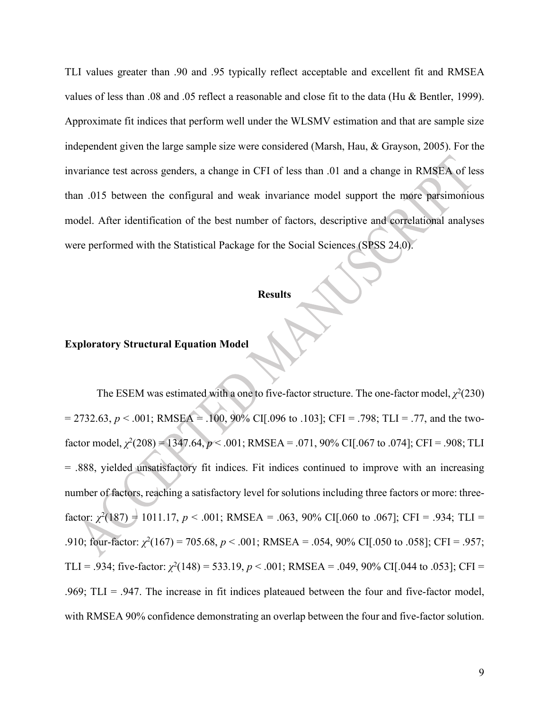TLI values greater than .90 and .95 typically reflect acceptable and excellent fit and RMSEA values of less than .08 and .05 reflect a reasonable and close fit to the data (Hu & Bentler, 1999). Approximate fit indices that perform well under the WLSMV estimation and that are sample size independent given the large sample size were considered (Marsh, Hau, & Grayson, 2005). For the invariance test across genders, a change in CFI of less than .01 and a change in RMSEA of less than .015 between the configural and weak invariance model support the more parsimonious model. After identification of the best number of factors, descriptive and correlational analyses were performed with the Statistical Package for the Social Sciences (SPSS 24.0).

## **Results**

# **Exploratory Structural Equation Model**

The ESEM was estimated with a one to five-factor structure. The one-factor model,  $\chi^2(230)$  $= 2732.63, p < .001$ ; RMSEA = .100, 90% CI[.096 to .103]; CFI = .798; TLI = .77, and the twofactor model,  $\chi^2(208) = 1347.64$ ,  $p < .001$ ; RMSEA = .071, 90% CI[.067 to .074]; CFI = .908; TLI = .888, yielded unsatisfactory fit indices. Fit indices continued to improve with an increasing number of factors, reaching a satisfactory level for solutions including three factors or more: threefactor:  $\chi^2(187) = 1011.17$ ,  $p < .001$ ; RMSEA = .063, 90% CI[.060 to .067]; CFI = .934; TLI = 910; four-factor:  $\chi^2(167) = 705.68$ ,  $p < .001$ ; RMSEA = .054, 90% CI[.050 to .058]; CFI = .957; TLI = .934; five-factor:  $\chi^2(148) = 533.19$ ,  $p < .001$ ; RMSEA = .049, 90% CI[.044 to .053]; CFI = .969; TLI = .947. The increase in fit indices plateaued between the four and five-factor model, with RMSEA 90% confidence demonstrating an overlap between the four and five-factor solution.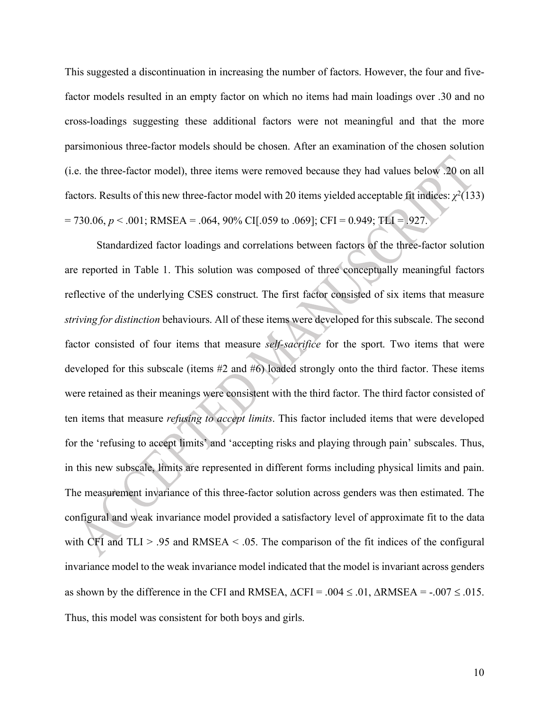This suggested a discontinuation in increasing the number of factors. However, the four and fivefactor models resulted in an empty factor on which no items had main loadings over .30 and no cross-loadings suggesting these additional factors were not meaningful and that the more parsimonious three-factor models should be chosen. After an examination of the chosen solution (i.e. the three-factor model), three items were removed because they had values below .20 on all factors. Results of this new three-factor model with 20 items yielded acceptable fit indices:  $\chi^2(133)$  $= 730.06, p < .001$ ; RMSEA = .064, 90% CI[.059 to .069]; CFI = 0.949; TLI = .927.

Standardized factor loadings and correlations between factors of the three-factor solution are reported in Table 1. This solution was composed of three conceptually meaningful factors reflective of the underlying CSES construct. The first factor consisted of six items that measure *striving for distinction* behaviours. All of these items were developed for this subscale. The second factor consisted of four items that measure *self-sacrifice* for the sport. Two items that were developed for this subscale (items #2 and #6) loaded strongly onto the third factor. These items were retained as their meanings were consistent with the third factor. The third factor consisted of ten items that measure *refusing to accept limits*. This factor included items that were developed for the 'refusing to accept limits' and 'accepting risks and playing through pain' subscales. Thus, in this new subscale, limits are represented in different forms including physical limits and pain. The measurement invariance of this three-factor solution across genders was then estimated. The configural and weak invariance model provided a satisfactory level of approximate fit to the data with CFI and  $TLI > .95$  and RMSEA  $\leq .05$ . The comparison of the fit indices of the configural invariance model to the weak invariance model indicated that the model is invariant across genders as shown by the difference in the CFI and RMSEA,  $\triangle$ CFI = .004  $\leq$  .01,  $\triangle$ RMSEA = -.007  $\leq$  .015. Thus, this model was consistent for both boys and girls.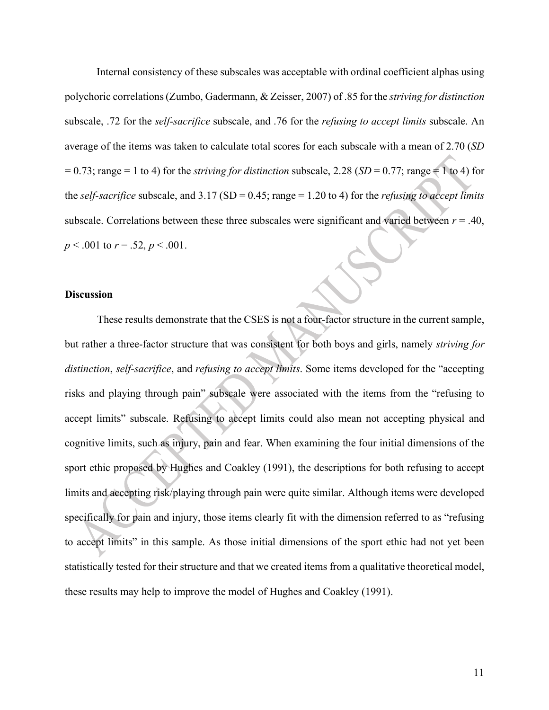Internal consistency of these subscales was acceptable with ordinal coefficient alphas using polychoric correlations(Zumbo, Gadermann, & Zeisser, 2007) of .85 for the *striving for distinction* subscale, .72 for the *self-sacrifice* subscale, and .76 for the *refusing to accept limits* subscale. An average of the items was taken to calculate total scores for each subscale with a mean of 2.70 (*SD*  $= 0.73$ ; range  $= 1$  to 4) for the *striving for distinction* subscale, 2.28 (*SD*  $= 0.77$ ; range  $= 1$  to 4) for the *self-sacrifice* subscale, and 3.17 (SD = 0.45; range = 1.20 to 4) for the *refusing to accept limits* subscale. Correlations between these three subscales were significant and varied between  $r = .40$ , *p* < .001 to *r* = .52, *p* < .001.

### **Discussion**

These results demonstrate that the CSES is not a four-factor structure in the current sample, but rather a three-factor structure that was consistent for both boys and girls, namely *striving for distinction*, *self-sacrifice*, and *refusing to accept limits*. Some items developed for the "accepting risks and playing through pain" subscale were associated with the items from the "refusing to accept limits" subscale. Refusing to accept limits could also mean not accepting physical and cognitive limits, such as injury, pain and fear. When examining the four initial dimensions of the sport ethic proposed by Hughes and Coakley (1991), the descriptions for both refusing to accept limits and accepting risk/playing through pain were quite similar. Although items were developed specifically for pain and injury, those items clearly fit with the dimension referred to as "refusing to accept limits" in this sample. As those initial dimensions of the sport ethic had not yet been statistically tested for their structure and that we created items from a qualitative theoretical model, these results may help to improve the model of Hughes and Coakley (1991).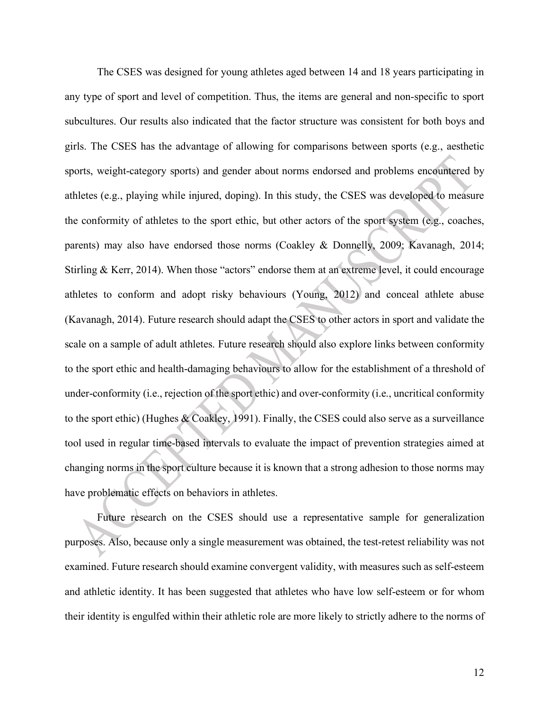The CSES was designed for young athletes aged between 14 and 18 years participating in any type of sport and level of competition. Thus, the items are general and non-specific to sport subcultures. Our results also indicated that the factor structure was consistent for both boys and girls. The CSES has the advantage of allowing for comparisons between sports (e.g., aesthetic sports, weight-category sports) and gender about norms endorsed and problems encountered by athletes (e.g., playing while injured, doping). In this study, the CSES was developed to measure the conformity of athletes to the sport ethic, but other actors of the sport system (e.g., coaches, parents) may also have endorsed those norms (Coakley & Donnelly, 2009; Kavanagh, 2014; Stirling & Kerr, 2014). When those "actors" endorse them at an extreme level, it could encourage athletes to conform and adopt risky behaviours (Young, 2012) and conceal athlete abuse (Kavanagh, 2014). Future research should adapt the CSES to other actors in sport and validate the scale on a sample of adult athletes. Future research should also explore links between conformity to the sport ethic and health-damaging behaviours to allow for the establishment of a threshold of under-conformity (i.e., rejection of the sport ethic) and over-conformity (i.e., uncritical conformity to the sport ethic) (Hughes & Coakley, 1991). Finally, the CSES could also serve as a surveillance tool used in regular time-based intervals to evaluate the impact of prevention strategies aimed at changing norms in the sport culture because it is known that a strong adhesion to those norms may have problematic effects on behaviors in athletes.

Future research on the CSES should use a representative sample for generalization purposes. Also, because only a single measurement was obtained, the test-retest reliability was not examined. Future research should examine convergent validity, with measures such as self-esteem and athletic identity. It has been suggested that athletes who have low self-esteem or for whom their identity is engulfed within their athletic role are more likely to strictly adhere to the norms of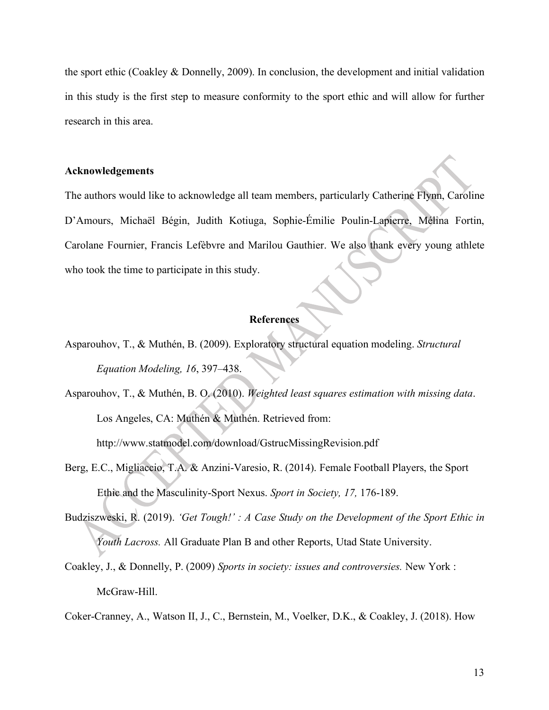the sport ethic (Coakley & Donnelly, 2009). In conclusion, the development and initial validation in this study is the first step to measure conformity to the sport ethic and will allow for further research in this area.

# **Acknowledgements**

The authors would like to acknowledge all team members, particularly Catherine Flynn, Caroline D'Amours, Michaël Bégin, Judith Kotiuga, Sophie-Émilie Poulin-Lapierre, Mélina Fortin, Carolane Fournier, Francis Lefèbvre and Marilou Gauthier. We also thank every young athlete who took the time to participate in this study.

#### **References**

Asparouhov, T., & Muthén, B. (2009). Exploratory structural equation modeling. *Structural Equation Modeling, 16*, 397–438.

Asparouhov, T., & Muthén, B. O. (2010). *Weighted least squares estimation with missing data*. Los Angeles, CA: Muthén & Muthén. Retrieved from:

http://www.statmodel.com/download/GstrucMissingRevision.pdf

Berg, E.C., Migliaccio, T.A. & Anzini-Varesio, R. (2014). Female Football Players, the Sport Ethic and the Masculinity-Sport Nexus. *Sport in Society, 17,* 176-189.

Budziszweski, R. (2019). *'Get Tough!' : A Case Study on the Development of the Sport Ethic in Youth Lacross.* All Graduate Plan B and other Reports, Utad State University.

Coakley, J., & Donnelly, P. (2009) *Sports in society: issues and controversies.* New York : McGraw-Hill.

Coker-Cranney, A., Watson II, J., C., Bernstein, M., Voelker, D.K., & Coakley, J. (2018). How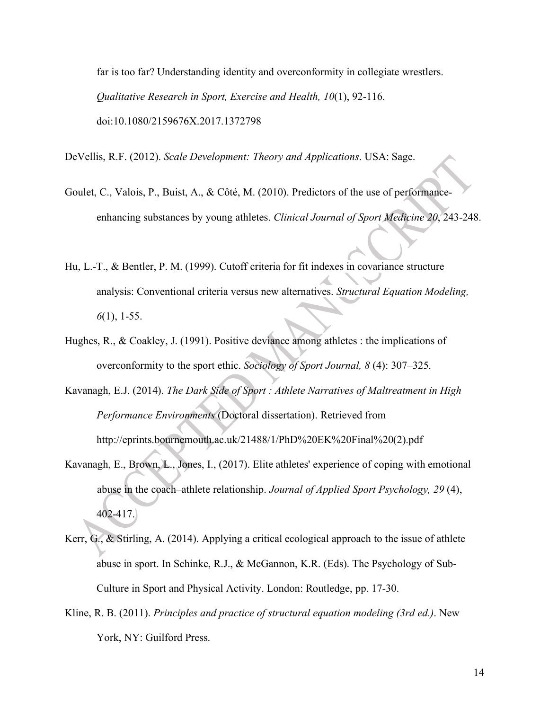far is too far? Understanding identity and overconformity in collegiate wrestlers. *Qualitative Research in Sport, Exercise and Health, 10*(1), 92-116. doi:10.1080/2159676X.2017.1372798

DeVellis, R.F. (2012). *Scale Development: Theory and Applications*. USA: Sage.

- Goulet, C., Valois, P., Buist, A., & Côté, M. (2010). Predictors of the use of performanceenhancing substances by young athletes. *Clinical Journal of Sport Medicine 20*, 243-248.
- Hu, L.-T., & Bentler, P. M. (1999). Cutoff criteria for fit indexes in covariance structure analysis: Conventional criteria versus new alternatives. *Structural Equation Modeling, 6*(1), 1-55.
- Hughes, R., & Coakley, J. (1991). Positive deviance among athletes : the implications of overconformity to the sport ethic. *Sociology of Sport Journal, 8* (4): 307–325.
- Kavanagh, E.J. (2014). *The Dark Side of Sport : Athlete Narratives of Maltreatment in High Performance Environments* (Doctoral dissertation). Retrieved from http://eprints.bournemouth.ac.uk/21488/1/PhD%20EK%20Final%20(2).pdf
- Kavanagh, E., Brown, L., Jones, I., (2017). Elite athletes' experience of coping with emotional abuse in the coach–athlete relationship. *Journal of Applied Sport Psychology, 29* (4), 402-417.
- Kerr, G., & Stirling, A. (2014). Applying a critical ecological approach to the issue of athlete abuse in sport. In Schinke, R.J., & McGannon, K.R. (Eds). The Psychology of Sub-Culture in Sport and Physical Activity. London: Routledge, pp. 17-30.
- Kline, R. B. (2011). *Principles and practice of structural equation modeling (3rd ed.)*. New York, NY: Guilford Press.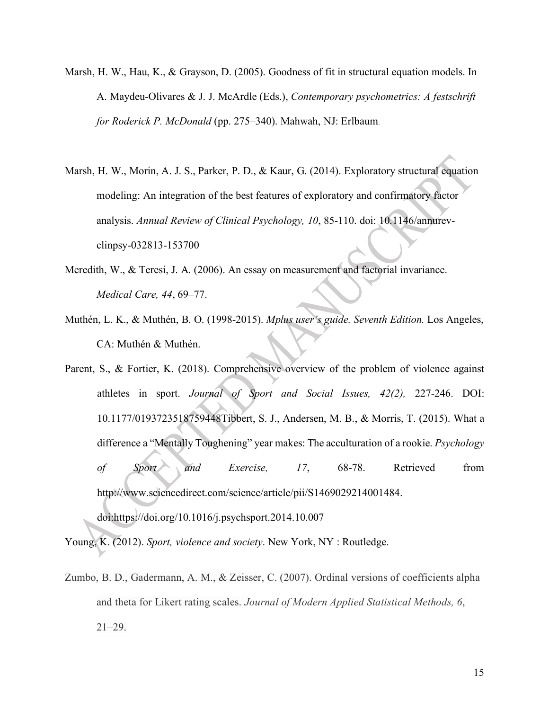- Marsh, H. W., Hau, K., & Grayson, D. (2005). Goodness of fit in structural equation models. In A. Maydeu-Olivares & J. J. McArdle (Eds.), *Contemporary psychometrics: A festschrift for Roderick P. McDonald* (pp. 275–340). Mahwah, NJ: Erlbaum.
- Marsh, H. W., Morin, A. J. S., Parker, P. D., & Kaur, G. (2014). Exploratory structural equation modeling: An integration of the best features of exploratory and confirmatory factor analysis. *Annual Review of Clinical Psychology, 10*, 85-110. doi: 10.1146/annurevclinpsy-032813-153700
- Meredith, W., & Teresi, J. A. (2006). An essay on measurement and factorial invariance. *Medical Care, 44*, 69–77.
- Muthén, L. K., & Muthén, B. O. (1998-2015). *Mplus user's guide. Seventh Edition.* Los Angeles, CA: Muthén & Muthén.
- Parent, S., & Fortier, K. (2018). Comprehensive overview of the problem of violence against athletes in sport. *Journal of Sport and Social Issues, 42(2),* 227-246. DOI: 10.1177/0193723518759448Tibbert, S. J., Andersen, M. B., & Morris, T. (2015). What a difference a "Mentally Toughening" year makes: The acculturation of a rookie. *Psychology of Sport and Exercise, 17*, 68-78. Retrieved from http://www.sciencedirect.com/science/article/pii/S1469029214001484. doi:https://doi.org/10.1016/j.psychsport.2014.10.007

Young, K. (2012). *Sport, violence and society*. New York, NY : Routledge.

Zumbo, B. D., Gadermann, A. M., & Zeisser, C. (2007). Ordinal versions of coefficients alpha and theta for Likert rating scales. *Journal of Modern Applied Statistical Methods, 6*,  $21 - 29$ .